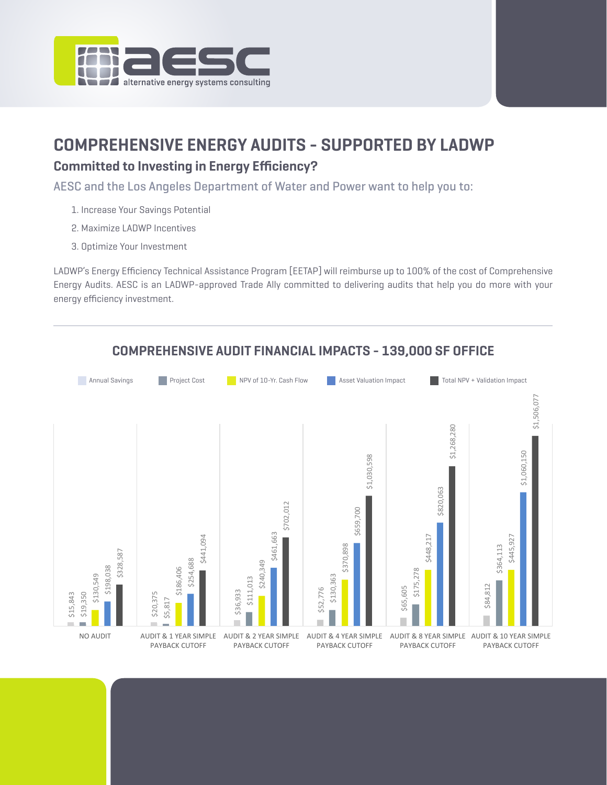

# **COMPREHENSIVE ENERGY AUDITS - SUPPORTED BY LADWP Committed to Investing in Energy Efficiency?**

AESC and the Los Angeles Department of Water and Power want to help you to:

- 1. Increase Your Savings Potential
- 2. Maximize LADWP Incentives
- 3. Optimize Your Investment

LADWP's Energy Efficiency Technical Assistance Program [EETAP] will reimburse up to 100% of the cost of Comprehensive Energy Audits. AESC is an LADWP-approved Trade Ally committed to delivering audits that help you do more with your energy efficiency investment.



# **COMPREHENSIVE AUDIT FINANCIAL IMPACTS - 139,000 SF OFFICE**